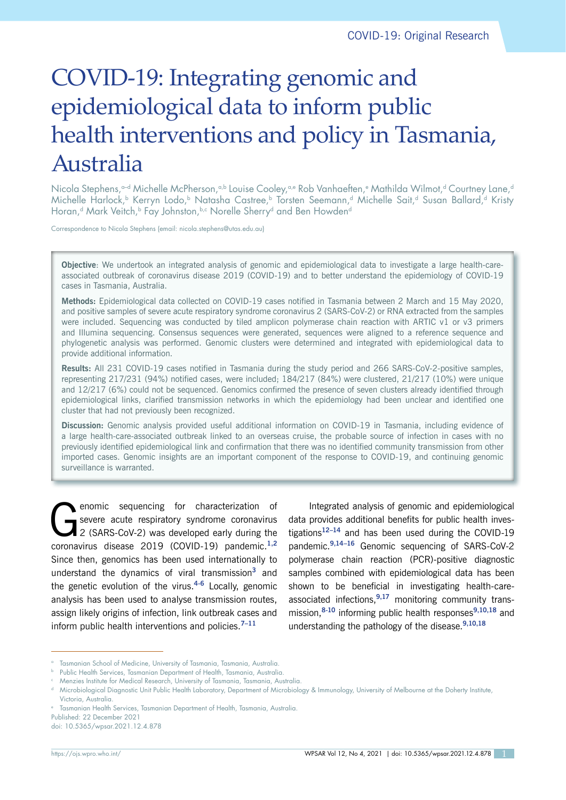# COVID-19: Integrating genomic and epidemiological data to inform public health interventions and policy in Tasmania, Australia

Nicola Stephens,<sup>a-d</sup> Michelle McPherson,<sup>a,b</sup> Louise Cooley,<sup>a,e</sup> Rob Vanhaeften,<sup>e</sup> Mathilda Wilmot,<sup>d</sup> Courtney Lane,<sup>d</sup> Michelle Harlock,<sup>b</sup> Kerryn Lodo,<sup>b</sup> Natasha Castree,<sup>b</sup> Torsten Seemann,<sup>d</sup> Michelle Sait,<sup>d</sup> Susan Ballard,<sup>d</sup> Kristy Horan,<sup>d</sup> Mark Veitch,<sup>b</sup> Fay Johnston, <sup>b,c</sup> Norelle Sherry<sup>d</sup> and Ben Howden<sup>d</sup>

Correspondence to Nicola Stephens (email: nicola.stephens@utas.edu.au)

**Objective**: We undertook an integrated analysis of genomic and epidemiological data to investigate a large health-careassociated outbreak of coronavirus disease 2019 (COVID-19) and to better understand the epidemiology of COVID-19 cases in Tasmania, Australia.

**Methods:** Epidemiological data collected on COVID-19 cases notified in Tasmania between 2 March and 15 May 2020, and positive samples of severe acute respiratory syndrome coronavirus 2 (SARS-CoV-2) or RNA extracted from the samples were included. Sequencing was conducted by tiled amplicon polymerase chain reaction with ARTIC v1 or v3 primers and Illumina sequencing. Consensus sequences were generated, sequences were aligned to a reference sequence and phylogenetic analysis was performed. Genomic clusters were determined and integrated with epidemiological data to provide additional information.

**Results:** All 231 COVID-19 cases notified in Tasmania during the study period and 266 SARS-CoV-2-positive samples, representing 217/231 (94%) notified cases, were included; 184/217 (84%) were clustered, 21/217 (10%) were unique and 12/217 (6%) could not be sequenced. Genomics confirmed the presence of seven clusters already identified through epidemiological links, clarified transmission networks in which the epidemiology had been unclear and identified one cluster that had not previously been recognized.

**Discussion:** Genomic analysis provided useful additional information on COVID-19 in Tasmania, including evidence of a large health-care-associated outbreak linked to an overseas cruise, the probable source of infection in cases with no previously identified epidemiological link and confirmation that there was no identified community transmission from other imported cases. Genomic insights are an important component of the response to COVID-19, and continuing genomic surveillance is warranted.

enomic sequencing for characterization of<br>severe acute respiratory syndrome coronavirus<br>2 (SARS-CoV-2) was developed early during the severe acute respiratory syndrome coronavirus 2 (SARS-CoV-2) was developed early during the coronavirus disease 2019 (COVID-19) pandemic.**1,2** Since then, genomics has been used internationally to understand the dynamics of viral transmission**<sup>3</sup>** and the genetic evolution of the virus.**4-6** Locally, genomic analysis has been used to analyse transmission routes, assign likely origins of infection, link outbreak cases and inform public health interventions and policies.**7–11**

Integrated analysis of genomic and epidemiological data provides additional benefits for public health investigations**12–14** and has been used during the COVID-19 pandemic.**9,14–16** Genomic sequencing of SARS-CoV-2 polymerase chain reaction (PCR)-positive diagnostic samples combined with epidemiological data has been shown to be beneficial in investigating health-careassociated infections,**9,17** monitoring community transmission,**8-10** informing public health responses**9,10,18** and understanding the pathology of the disease.**9,10,18**

Published: 22 December 2021

doi: 10.5365/wpsar.2021.12.4.878

<sup>&</sup>lt;sup>a</sup> Tasmanian School of Medicine, University of Tasmania, Tasmania, Australia.

Public Health Services, Tasmanian Department of Health, Tasmania, Australia.

<sup>&</sup>lt;sup>c</sup> Menzies Institute for Medical Research, University of Tasmania, Tasmania, Australia.

d Microbiological Diagnostic Unit Public Health Laboratory, Department of Microbiology & Immunology, University of Melbourne at the Doherty Institute, Victoria, Australia.

<sup>e</sup> Tasmanian Health Services, Tasmanian Department of Health, Tasmania, Australia.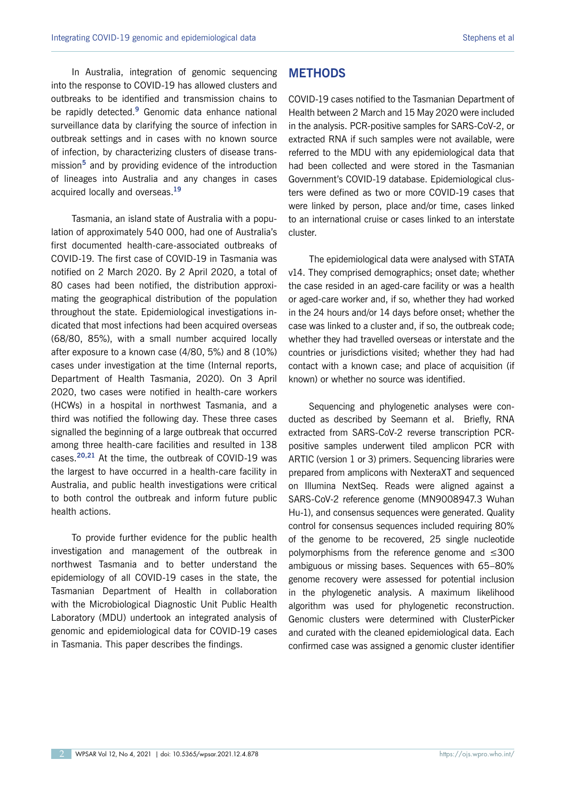In Australia, integration of genomic sequencing into the response to COVID-19 has allowed clusters and outbreaks to be identified and transmission chains to be rapidly detected.**<sup>9</sup>** Genomic data enhance national surveillance data by clarifying the source of infection in outbreak settings and in cases with no known source of infection, by characterizing clusters of disease transmission**<sup>5</sup>** and by providing evidence of the introduction of lineages into Australia and any changes in cases acquired locally and overseas.**<sup>19</sup>**

Tasmania, an island state of Australia with a population of approximately 540 000, had one of Australia's first documented health-care-associated outbreaks of COVID-19. The first case of COVID-19 in Tasmania was notified on 2 March 2020. By 2 April 2020, a total of 80 cases had been notified, the distribution approximating the geographical distribution of the population throughout the state. Epidemiological investigations indicated that most infections had been acquired overseas (68/80, 85%), with a small number acquired locally after exposure to a known case (4/80, 5%) and 8 (10%) cases under investigation at the time (Internal reports, Department of Health Tasmania, 2020). On 3 April 2020, two cases were notified in health-care workers (HCWs) in a hospital in northwest Tasmania, and a third was notified the following day. These three cases signalled the beginning of a large outbreak that occurred among three health-care facilities and resulted in 138 cases.**20,21** At the time, the outbreak of COVID-19 was the largest to have occurred in a health-care facility in Australia, and public health investigations were critical to both control the outbreak and inform future public health actions.

To provide further evidence for the public health investigation and management of the outbreak in northwest Tasmania and to better understand the epidemiology of all COVID-19 cases in the state, the Tasmanian Department of Health in collaboration with the Microbiological Diagnostic Unit Public Health Laboratory (MDU) undertook an integrated analysis of genomic and epidemiological data for COVID-19 cases in Tasmania. This paper describes the findings.

## **METHODS**

COVID-19 cases notified to the Tasmanian Department of Health between 2 March and 15 May 2020 were included in the analysis. PCR-positive samples for SARS-CoV-2, or extracted RNA if such samples were not available, were referred to the MDU with any epidemiological data that had been collected and were stored in the Tasmanian Government's COVID-19 database. Epidemiological clusters were defined as two or more COVID-19 cases that were linked by person, place and/or time, cases linked to an international cruise or cases linked to an interstate cluster.

The epidemiological data were analysed with STATA v14. They comprised demographics; onset date; whether the case resided in an aged-care facility or was a health or aged-care worker and, if so, whether they had worked in the 24 hours and/or 14 days before onset; whether the case was linked to a cluster and, if so, the outbreak code; whether they had travelled overseas or interstate and the countries or jurisdictions visited; whether they had had contact with a known case; and place of acquisition (if known) or whether no source was identified.

Sequencing and phylogenetic analyses were conducted as described by Seemann et al. Briefly, RNA extracted from SARS-CoV-2 reverse transcription PCRpositive samples underwent tiled amplicon PCR with ARTIC (version 1 or 3) primers. Sequencing libraries were prepared from amplicons with NexteraXT and sequenced on Illumina NextSeq. Reads were aligned against a SARS-CoV-2 reference genome (MN9008947.3 Wuhan Hu-1), and consensus sequences were generated. Quality control for consensus sequences included requiring 80% of the genome to be recovered, 25 single nucleotide polymorphisms from the reference genome and ≤300 ambiguous or missing bases. Sequences with 65–80% genome recovery were assessed for potential inclusion in the phylogenetic analysis. A maximum likelihood algorithm was used for phylogenetic reconstruction. Genomic clusters were determined with ClusterPicker and curated with the cleaned epidemiological data. Each confirmed case was assigned a genomic cluster identifier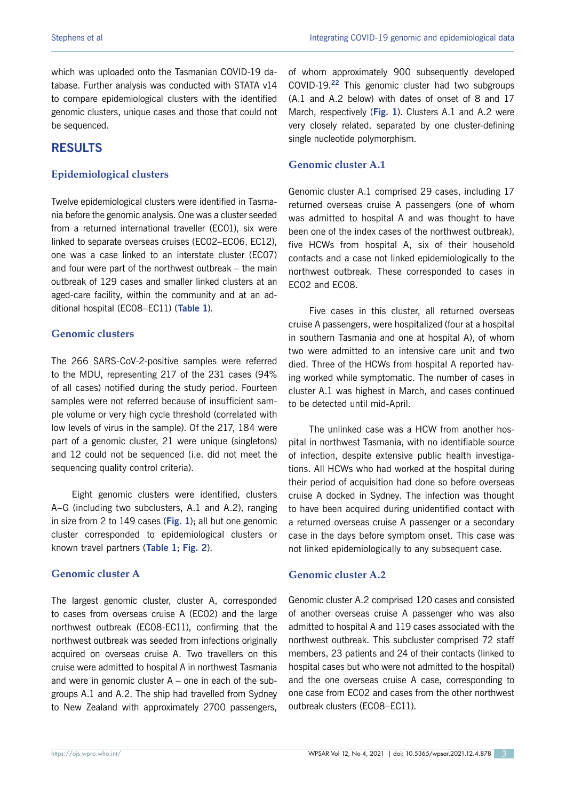which was uploaded onto the Tasmanian COVID-19 database. Further analysis was conducted with STATA v14 to compare epidemiological clusters with the identified genomic clusters, unique cases and those that could not be sequenced.

# **RESULTS**

## **Epidemiological clusters**

Twelve epidemiological clusters were identified in Tasmania before the genomic analysis. One was a cluster seeded from a returned international traveller (EC01), six were linked to separate overseas cruises (EC02–EC06, EC12), one was a case linked to an interstate cluster (EC07) and four were part of the northwest outbreak – the main outbreak of 129 cases and smaller linked clusters at an aged-care facility, within the community and at an additional hospital (EC08–EC11) (**Table 1**).

## **Genomic clusters**

The 266 SARS-CoV-2-positive samples were referred to the MDU, representing 217 of the 231 cases (94% of all cases) notified during the study period. Fourteen samples were not referred because of insufficient sample volume or very high cycle threshold (correlated with low levels of virus in the sample). Of the 217, 184 were part of a genomic cluster, 21 were unique (singletons) and 12 could not be sequenced (i.e. did not meet the sequencing quality control criteria).

Eight genomic clusters were identified, clusters A–G (including two subclusters, A.1 and A.2), ranging in size from 2 to 149 cases (**Fig. 1**); all but one genomic cluster corresponded to epidemiological clusters or known travel partners (**Table 1**; **Fig. 2**).

#### **Genomic cluster A**

The largest genomic cluster, cluster A, corresponded to cases from overseas cruise A (EC02) and the large northwest outbreak (EC08-EC11), confirming that the northwest outbreak was seeded from infections originally acquired on overseas cruise A. Two travellers on this cruise were admitted to hospital A in northwest Tasmania and were in genomic cluster  $A -$  one in each of the subgroups A.1 and A.2. The ship had travelled from Sydney to New Zealand with approximately 2700 passengers,

of whom approximately 900 subsequently developed COVID-19.**<sup>22</sup>** This genomic cluster had two subgroups (A.1 and A.2 below) with dates of onset of 8 and 17 March, respectively (**Fig. 1**). Clusters A.1 and A.2 were very closely related, separated by one cluster-defining single nucleotide polymorphism.

## **Genomic cluster A.1**

Genomic cluster A.1 comprised 29 cases, including 17 returned overseas cruise A passengers (one of whom was admitted to hospital A and was thought to have been one of the index cases of the northwest outbreak), five HCWs from hospital A, six of their household contacts and a case not linked epidemiologically to the northwest outbreak. These corresponded to cases in EC02 and EC08.

Five cases in this cluster, all returned overseas cruise A passengers, were hospitalized (four at a hospital in southern Tasmania and one at hospital A), of whom two were admitted to an intensive care unit and two died. Three of the HCWs from hospital A reported having worked while symptomatic. The number of cases in cluster A.1 was highest in March, and cases continued to be detected until mid-April.

The unlinked case was a HCW from another hospital in northwest Tasmania, with no identifiable source of infection, despite extensive public health investigations. All HCWs who had worked at the hospital during their period of acquisition had done so before overseas cruise A docked in Sydney. The infection was thought to have been acquired during unidentified contact with a returned overseas cruise A passenger or a secondary case in the days before symptom onset. This case was not linked epidemiologically to any subsequent case.

#### **Genomic cluster A.2**

Genomic cluster A.2 comprised 120 cases and consisted of another overseas cruise A passenger who was also admitted to hospital A and 119 cases associated with the northwest outbreak. This subcluster comprised 72 staff members, 23 patients and 24 of their contacts (linked to hospital cases but who were not admitted to the hospital) and the one overseas cruise A case, corresponding to one case from EC02 and cases from the other northwest outbreak clusters (EC08–EC11).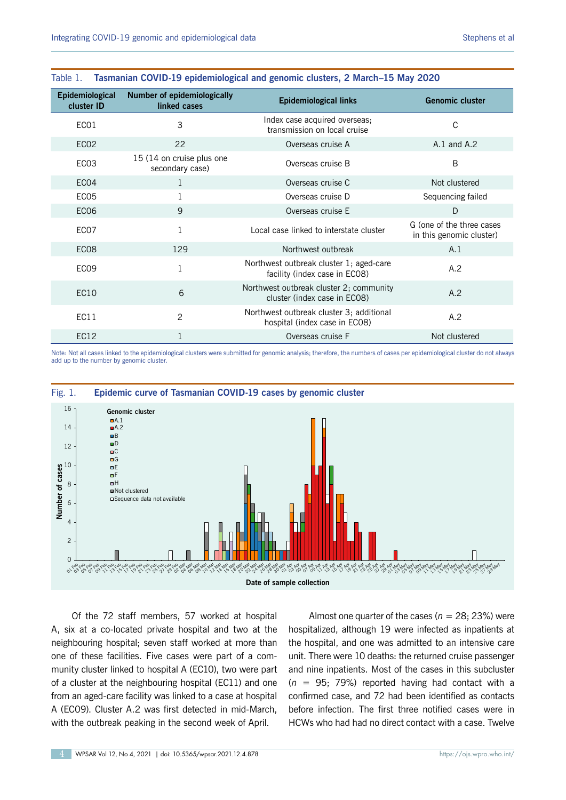| <b>Epidemiological</b><br>cluster ID | <b>Number of epidemiologically</b><br>linked cases | <b>Epidemiological links</b>                                              | <b>Genomic cluster</b>                                |  |
|--------------------------------------|----------------------------------------------------|---------------------------------------------------------------------------|-------------------------------------------------------|--|
| ECO1                                 | 3                                                  | Index case acquired overseas;<br>transmission on local cruise             | C                                                     |  |
| EC <sub>02</sub>                     | 22                                                 | Overseas cruise A                                                         | $A.1$ and $A.2$                                       |  |
| EC <sub>03</sub>                     | 15 (14 on cruise plus one<br>secondary case)       | Overseas cruise B                                                         | B                                                     |  |
| EC <sub>04</sub>                     | 1                                                  | Overseas cruise C                                                         | Not clustered                                         |  |
| EC <sub>05</sub>                     |                                                    | Overseas cruise D                                                         | Sequencing failed                                     |  |
| <b>EC06</b>                          | 9                                                  | Overseas cruise E                                                         | D                                                     |  |
| EC <sub>07</sub>                     | 1                                                  | Local case linked to interstate cluster                                   | G (one of the three cases<br>in this genomic cluster) |  |
| EC <sub>08</sub>                     | 129                                                | Northwest outbreak                                                        | A.1                                                   |  |
| EC <sub>09</sub>                     |                                                    | Northwest outbreak cluster 1; aged-care<br>facility (index case in ECO8)  | A.2                                                   |  |
| EC <sub>10</sub>                     | 6                                                  | Northwest outbreak cluster 2; community<br>cluster (index case in ECO8)   | A.2                                                   |  |
| EC11                                 | 2                                                  | Northwest outbreak cluster 3; additional<br>hospital (index case in EC08) | A.2                                                   |  |
| <b>EC12</b>                          |                                                    | Overseas cruise F                                                         | Not clustered                                         |  |

#### Table 1. **Tasmanian COVID-19 epidemiological and genomic clusters, 2 March–15 May 2020**

Note: Not all cases linked to the epidemiological clusters were submitted for genomic analysis; therefore, the numbers of cases per epidemiological cluster do not always add up to the number by genomic cluster.



Of the 72 staff members, 57 worked at hospital A, six at a co-located private hospital and two at the neighbouring hospital; seven staff worked at more than one of these facilities. Five cases were part of a community cluster linked to hospital A (EC10), two were part of a cluster at the neighbouring hospital (EC11) and one from an aged-care facility was linked to a case at hospital A (EC09). Cluster A.2 was first detected in mid-March, with the outbreak peaking in the second week of April.

Almost one quarter of the cases ( $n = 28$ ; 23%) were hospitalized, although 19 were infected as inpatients at the hospital, and one was admitted to an intensive care unit. There were 10 deaths: the returned cruise passenger and nine inpatients. Most of the cases in this subcluster (*n* = 95; 79%) reported having had contact with a confirmed case, and 72 had been identified as contacts before infection. The first three notified cases were in HCWs who had had no direct contact with a case. Twelve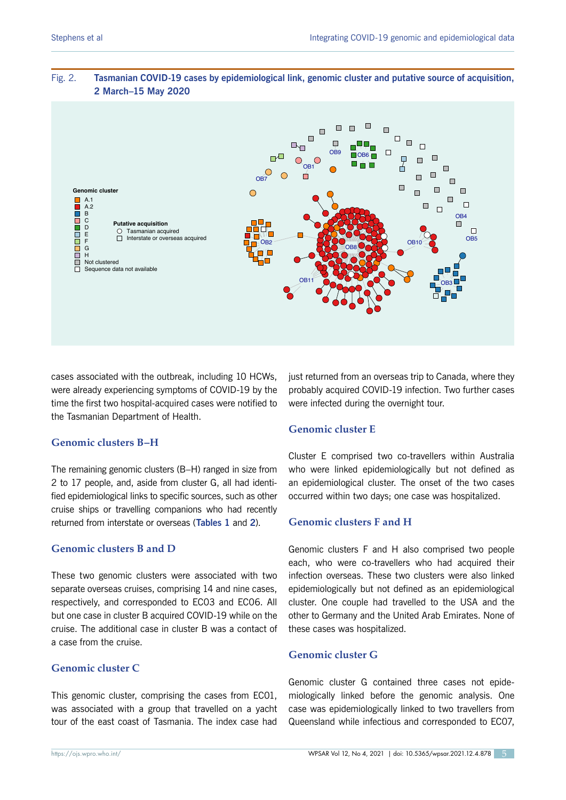

## Fig. 2. **Tasmanian COVID-19 cases by epidemiological link, genomic cluster and putative source of acquisition, 2 March–15 May 2020**

cases associated with the outbreak, including 10 HCWs, were already experiencing symptoms of COVID-19 by the time the first two hospital-acquired cases were notified to the Tasmanian Department of Health.

## **Genomic clusters B–H**

The remaining genomic clusters (B–H) ranged in size from 2 to 17 people, and, aside from cluster G, all had identified epidemiological links to specific sources, such as other cruise ships or travelling companions who had recently returned from interstate or overseas (**Tables 1** and **2**).

## **Genomic clusters B and D**

These two genomic clusters were associated with two separate overseas cruises, comprising 14 and nine cases, respectively, and corresponded to EC03 and EC06. All but one case in cluster B acquired COVID-19 while on the cruise. The additional case in cluster B was a contact of a case from the cruise.

## **Genomic cluster C**

This genomic cluster, comprising the cases from EC01, was associated with a group that travelled on a yacht tour of the east coast of Tasmania. The index case had

just returned from an overseas trip to Canada, where they probably acquired COVID-19 infection. Two further cases were infected during the overnight tour.

## **Genomic cluster E**

Cluster E comprised two co-travellers within Australia who were linked epidemiologically but not defined as an epidemiological cluster. The onset of the two cases occurred within two days; one case was hospitalized.

# **Genomic clusters F and H**

Genomic clusters F and H also comprised two people each, who were co-travellers who had acquired their infection overseas. These two clusters were also linked epidemiologically but not defined as an epidemiological cluster. One couple had travelled to the USA and the other to Germany and the United Arab Emirates. None of these cases was hospitalized.

## **Genomic cluster G**

Genomic cluster G contained three cases not epidemiologically linked before the genomic analysis. One case was epidemiologically linked to two travellers from Queensland while infectious and corresponded to EC07,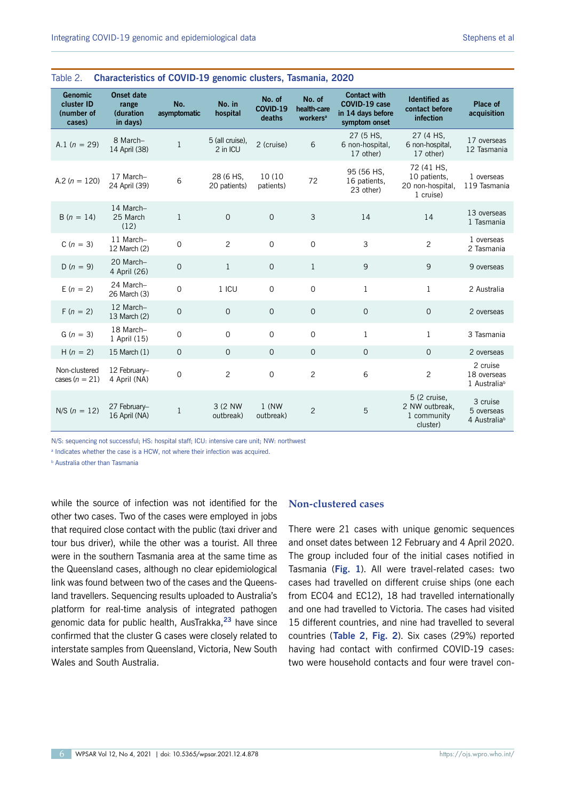| <b>Genomic</b><br>cluster ID<br>(number of<br>cases) | <b>Onset date</b><br>range<br><b>(duration</b><br>in days) | No.<br>asymptomatic | No. in<br>hospital          | No. of<br>COVID-19<br>deaths | No. of<br>health-care<br>workers <sup>a</sup> | <b>Contact with</b><br>COVID-19 case<br>in 14 days before<br>symptom onset | <b>Identified as</b><br>contact before<br>infection         | Place of<br>acquisition                             |  |  |  |
|------------------------------------------------------|------------------------------------------------------------|---------------------|-----------------------------|------------------------------|-----------------------------------------------|----------------------------------------------------------------------------|-------------------------------------------------------------|-----------------------------------------------------|--|--|--|
| A.1 $(n = 29)$                                       | 8 March-<br>14 April (38)                                  | 1                   | 5 (all cruise),<br>2 in ICU | 2 (cruise)                   | 6                                             | 27 (5 HS,<br>6 non-hospital,<br>17 other)                                  | 27 (4 HS,<br>6 non-hospital,<br>17 other)                   | 17 overseas<br>12 Tasmania                          |  |  |  |
| A.2 ( $n = 120$ )                                    | 17 March-<br>24 April (39)                                 | 6                   | 28 (6 HS,<br>20 patients)   | 10 (10)<br>patients)         | 72                                            | 95 (56 HS,<br>16 patients,<br>23 other)                                    | 72 (41 HS,<br>10 patients,<br>20 non-hospital,<br>1 cruise) | 1 overseas<br>119 Tasmania                          |  |  |  |
| $B(n = 14)$                                          | 14 March-<br>25 March<br>(12)                              | $\mathbf{1}$        | $\Omega$                    | $\Omega$                     | 3                                             | 14                                                                         | 14                                                          | 13 overseas<br>1 Tasmania                           |  |  |  |
| $C(n = 3)$                                           | 11 March-<br>12 March (2)                                  | $\Omega$            | $\overline{2}$              | $\overline{0}$               | $\mathbf 0$                                   | 3                                                                          | $\overline{c}$                                              | 1 overseas<br>2 Tasmania                            |  |  |  |
| $D(n = 9)$                                           | 20 March-<br>4 April (26)                                  | $\mathsf{O}\xspace$ | $\mathbf{1}$                | $\overline{0}$               | $\mathbf{1}$                                  | $\mathsf 9$                                                                | 9                                                           | 9 overseas                                          |  |  |  |
| $E(n = 2)$                                           | 24 March-<br>26 March (3)                                  | $\mathbf 0$         | $1$ ICU                     | $\mathsf{O}$                 | $\mathbf 0$                                   | $\mathbf{1}$                                                               | $\mathbf{1}$                                                | 2 Australia                                         |  |  |  |
| $F(n = 2)$                                           | 12 March-<br>13 March (2)                                  | $\mathbf 0$         | $\overline{0}$              | $\mathbf{O}$                 | $\mathbf{O}$                                  | $\mathbf{O}$                                                               | $\mathbf{O}$                                                | 2 overseas                                          |  |  |  |
| $G(n = 3)$                                           | 18 March-<br>1 April (15)                                  | $\mathbf 0$         | $\Omega$                    | $\Omega$                     | $\mathbf 0$                                   | $\mathbf{1}$                                                               | $\mathbf{1}$                                                | 3 Tasmania                                          |  |  |  |
| $H(n = 2)$                                           | 15 March (1)                                               | $\mathbf 0$         | $\mathbf{0}$                | $\Omega$                     | $\mathbf{O}$                                  | $\mathbf{O}$                                                               | $\Omega$                                                    | 2 overseas                                          |  |  |  |
| Non-clustered<br>cases $(n = 21)$                    | 12 February-<br>4 April (NA)                               | $\mathsf{O}\xspace$ | $\overline{c}$              | $\mathbf 0$                  | $\overline{c}$                                | 6                                                                          | $\overline{c}$                                              | 2 cruise<br>18 overseas<br>1 Australia <sup>b</sup> |  |  |  |
| $N/S (n = 12)$                                       | 27 February-<br>16 April (NA)                              | $\mathbf{1}$        | 3 (2 NW<br>outbreak)        | $1$ (NW<br>outbreak)         | $\mathbf{2}$                                  | 5                                                                          | 5 (2 cruise,<br>2 NW outbreak.<br>1 community<br>cluster)   | 3 cruise<br>5 overseas<br>4 Australia <sup>b</sup>  |  |  |  |

#### Table 2. **Characteristics of COVID-19 genomic clusters, Tasmania, 2020**

N/S: sequencing not successful; HS: hospital staff; ICU: intensive care unit; NW: northwest

<sup>a</sup> Indicates whether the case is a HCW, not where their infection was acquired.

**b** Australia other than Tasmania

while the source of infection was not identified for the other two cases. Two of the cases were employed in jobs that required close contact with the public (taxi driver and tour bus driver), while the other was a tourist. All three were in the southern Tasmania area at the same time as the Queensland cases, although no clear epidemiological link was found between two of the cases and the Queensland travellers. Sequencing results uploaded to Australia's platform for real-time analysis of integrated pathogen genomic data for public health, AusTrakka,**<sup>23</sup>** have since confirmed that the cluster G cases were closely related to interstate samples from Queensland, Victoria, New South Wales and South Australia.

## **Non-clustered cases**

There were 21 cases with unique genomic sequences and onset dates between 12 February and 4 April 2020. The group included four of the initial cases notified in Tasmania (**Fig. 1**). All were travel-related cases: two cases had travelled on different cruise ships (one each from EC04 and EC12), 18 had travelled internationally and one had travelled to Victoria. The cases had visited 15 different countries, and nine had travelled to several countries (**Table 2**, **Fig. 2**). Six cases (29%) reported having had contact with confirmed COVID-19 cases: two were household contacts and four were travel con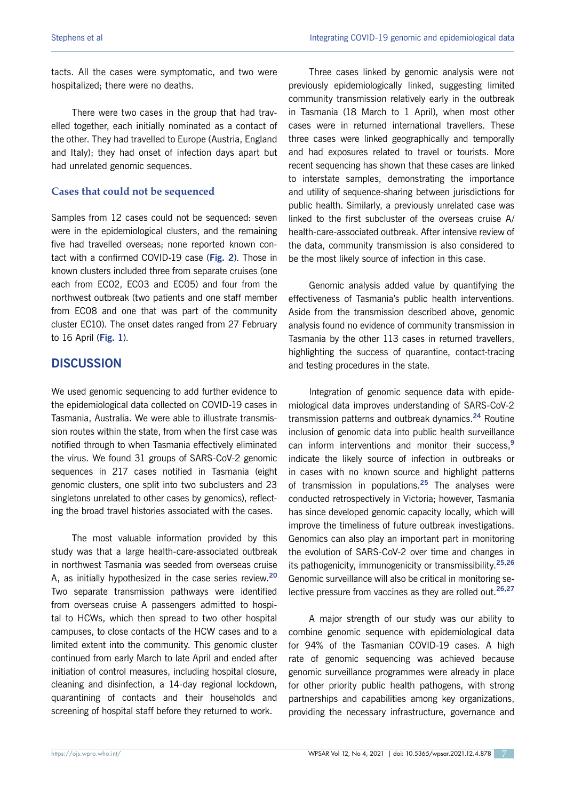tacts. All the cases were symptomatic, and two were hospitalized; there were no deaths.

There were two cases in the group that had travelled together, each initially nominated as a contact of the other. They had travelled to Europe (Austria, England and Italy); they had onset of infection days apart but had unrelated genomic sequences.

#### **Cases that could not be sequenced**

Samples from 12 cases could not be sequenced: seven were in the epidemiological clusters, and the remaining five had travelled overseas; none reported known contact with a confirmed COVID-19 case (**Fig. 2**). Those in known clusters included three from separate cruises (one each from EC02, EC03 and EC05) and four from the northwest outbreak (two patients and one staff member from EC08 and one that was part of the community cluster EC10). The onset dates ranged from 27 February to 16 April (**Fig. 1**).

# **DISCUSSION**

We used genomic sequencing to add further evidence to the epidemiological data collected on COVID-19 cases in Tasmania, Australia. We were able to illustrate transmission routes within the state, from when the first case was notified through to when Tasmania effectively eliminated the virus. We found 31 groups of SARS-CoV-2 genomic sequences in 217 cases notified in Tasmania (eight genomic clusters, one split into two subclusters and 23 singletons unrelated to other cases by genomics), reflecting the broad travel histories associated with the cases.

The most valuable information provided by this study was that a large health-care-associated outbreak in northwest Tasmania was seeded from overseas cruise A, as initially hypothesized in the case series review.**<sup>20</sup>** Two separate transmission pathways were identified from overseas cruise A passengers admitted to hospital to HCWs, which then spread to two other hospital campuses, to close contacts of the HCW cases and to a limited extent into the community. This genomic cluster continued from early March to late April and ended after initiation of control measures, including hospital closure, cleaning and disinfection, a 14-day regional lockdown, quarantining of contacts and their households and screening of hospital staff before they returned to work.

Three cases linked by genomic analysis were not previously epidemiologically linked, suggesting limited community transmission relatively early in the outbreak in Tasmania (18 March to 1 April), when most other cases were in returned international travellers. These three cases were linked geographically and temporally and had exposures related to travel or tourists. More recent sequencing has shown that these cases are linked to interstate samples, demonstrating the importance and utility of sequence-sharing between jurisdictions for public health. Similarly, a previously unrelated case was linked to the first subcluster of the overseas cruise A/ health-care-associated outbreak. After intensive review of the data, community transmission is also considered to be the most likely source of infection in this case.

Genomic analysis added value by quantifying the effectiveness of Tasmania's public health interventions. Aside from the transmission described above, genomic analysis found no evidence of community transmission in Tasmania by the other 113 cases in returned travellers, highlighting the success of quarantine, contact-tracing and testing procedures in the state.

Integration of genomic sequence data with epidemiological data improves understanding of SARS-CoV-2 transmission patterns and outbreak dynamics.**<sup>24</sup>** Routine inclusion of genomic data into public health surveillance can inform interventions and monitor their success,**<sup>9</sup>** indicate the likely source of infection in outbreaks or in cases with no known source and highlight patterns of transmission in populations.**<sup>25</sup>** The analyses were conducted retrospectively in Victoria; however, Tasmania has since developed genomic capacity locally, which will improve the timeliness of future outbreak investigations. Genomics can also play an important part in monitoring the evolution of SARS-CoV-2 over time and changes in its pathogenicity, immunogenicity or transmissibility.**25,26** Genomic surveillance will also be critical in monitoring selective pressure from vaccines as they are rolled out.**26,27**

A major strength of our study was our ability to combine genomic sequence with epidemiological data for 94% of the Tasmanian COVID-19 cases. A high rate of genomic sequencing was achieved because genomic surveillance programmes were already in place for other priority public health pathogens, with strong partnerships and capabilities among key organizations, providing the necessary infrastructure, governance and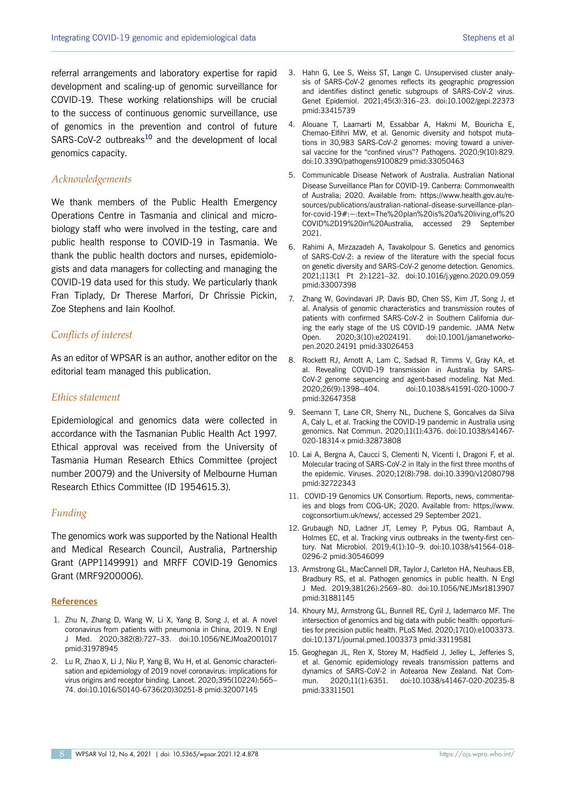referral arrangements and laboratory expertise for rapid development and scaling-up of genomic surveillance for COVID-19. These working relationships will be crucial to the success of continuous genomic surveillance, use of genomics in the prevention and control of future SARS-CoV-2 outbreaks**<sup>10</sup>** and the development of local genomics capacity.

#### *Acknowledgements*

We thank members of the Public Health Emergency Operations Centre in Tasmania and clinical and microbiology staff who were involved in the testing, care and public health response to COVID-19 in Tasmania. We thank the public health doctors and nurses, epidemiologists and data managers for collecting and managing the COVID-19 data used for this study. We particularly thank Fran Tiplady, Dr Therese Marfori, Dr Chrissie Pickin, Zoe Stephens and Iain Koolhof.

## *Conflicts of interest*

As an editor of WPSAR is an author, another editor on the editorial team managed this publication.

#### *Ethics statement*

Epidemiological and genomics data were collected in accordance with the Tasmanian Public Health Act 1997. Ethical approval was received from the University of Tasmania Human Research Ethics Committee (project number 20079) and the University of Melbourne Human Research Ethics Committee (ID 1954615.3).

## *Funding*

The genomics work was supported by the National Health and Medical Research Council, Australia, Partnership Grant (APP1149991) and MRFF COVID-19 Genomics Grant (MRF9200006).

#### **References**

- 1. Zhu N, Zhang D, Wang W, Li X, Yang B, Song J, et al. A novel coronavirus from patients with pneumonia in China, 2019. N Engl J Med. 2020;382(8):727–33. doi:10.1056/NEJMoa2001017 pmid:31978945
- 2. Lu R, Zhao X, Li J, Niu P, Yang B, Wu H, et al. Genomic characterisation and epidemiology of 2019 novel coronavirus: implications for virus origins and receptor binding. Lancet. 2020;395(10224):565– 74. doi:10.1016/S0140-6736(20)30251-8 pmid:32007145
- 3. Hahn G, Lee S, Weiss ST, Lange C. Unsupervised cluster analysis of SARS-CoV-2 genomes reflects its geographic progression and identifies distinct genetic subgroups of SARS-CoV-2 virus. Genet Epidemiol. 2021;45(3):316–23. doi:10.1002/gepi.22373 pmid:33415739
- 4. Alouane T, Laamarti M, Essabbar A, Hakmi M, Bouricha E, Chemao-Elfihri MW, et al. Genomic diversity and hotspot mutations in 30,983 SARS-CoV-2 genomes: moving toward a universal vaccine for the "confined virus"? Pathogens. 2020;9(10):829. doi:10.3390/pathogens9100829 pmid:33050463
- 5. Communicable Disease Network of Australia. Australian National Disease Surveillance Plan for COVID-19. Canberra: Commonwealth of Australia; 2020. Available from: https://www.health.gov.au/resources/publications/australian-national-disease-surveillance-planfor-covid-19#:~:text=The%20plan%20is%20a%20living,of%20 COVID%2D19%20in%20Australia, accessed 29 September 2021.
- 6. Rahimi A, Mirzazadeh A, Tavakolpour S. Genetics and genomics of SARS-CoV-2: a review of the literature with the special focus on genetic diversity and SARS-CoV-2 genome detection. Genomics. 2021;113(1 Pt 2):1221–32. doi:10.1016/j.ygeno.2020.09.059 pmid:33007398
- 7. Zhang W, Govindavari JP, Davis BD, Chen SS, Kim JT, Song J, et al. Analysis of genomic characteristics and transmission routes of patients with confirmed SARS-CoV-2 in Southern California during the early stage of the US COVID-19 pandemic. JAMA Netw Open. 2020;3(10):e2024191. doi:10.1001/jamanetworkopen.2020.24191 pmid:33026453
- 8. Rockett RJ, Arnott A, Lam C, Sadsad R, Timms V, Gray KA, et al. Revealing COVID-19 transmission in Australia by SARS-CoV-2 genome sequencing and agent-based modeling. Nat Med. 2020;26(9):1398–404. doi:10.1038/s41591-020-1000-7 pmid:32647358
- 9. Seemann T, Lane CR, Sherry NL, Duchene S, Goncalves da Silva A, Caly L, et al. Tracking the COVID-19 pandemic in Australia using genomics. Nat Commun. 2020;11(1):4376. doi:10.1038/s41467- 020-18314-x pmid:32873808
- 10. Lai A, Bergna A, Caucci S, Clementi N, Vicenti I, Dragoni F, et al. Molecular tracing of SARS-CoV-2 in Italy in the first three months of the epidemic. Viruses. 2020;12(8):798. doi:10.3390/v12080798 pmid:32722343
- 11. COVID-19 Genomics UK Consortium. Reports, news, commentaries and blogs from COG-UK; 2020. Available from: https://www. cogconsortium.uk/news/, accessed 29 September 2021.
- 12. Grubaugh ND, Ladner JT, Lemey P, Pybus OG, Rambaut A, Holmes EC, et al. Tracking virus outbreaks in the twenty-first century. Nat Microbiol. 2019;4(1):10–9. doi:10.1038/s41564-018- 0296-2 pmid:30546099
- 13. Armstrong GL, MacCannell DR, Taylor J, Carleton HA, Neuhaus EB, Bradbury RS, et al. Pathogen genomics in public health. N Engl J Med. 2019;381(26):2569–80. doi:10.1056/NEJMsr1813907 pmid:31881145
- 14. Khoury MJ, Armstrong GL, Bunnell RE, Cyril J, Iademarco MF. The intersection of genomics and big data with public health: opportunities for precision public health. PLoS Med. 2020;17(10):e1003373. doi:10.1371/journal.pmed.1003373 pmid:33119581
- 15. Geoghegan JL, Ren X, Storey M, Hadfield J, Jelley L, Jefferies S, et al. Genomic epidemiology reveals transmission patterns and dynamics of SARS-CoV-2 in Aotearoa New Zealand. Nat Commun. 2020;11(1):6351. doi:10.1038/s41467-020-20235-8 pmid:33311501